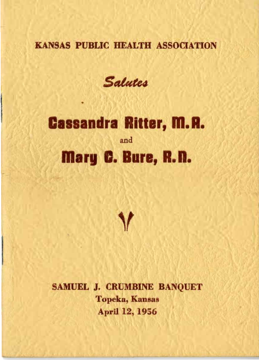### KANSAS PUBLIC HEALTH ASSOCIATION

Salutes

# **Cassandra Ritter, M. R.** and Mary C. Bure, R.D.



SAMUEL J. CRUMBINE BANQUET Topeka, Kansas April 12, 1956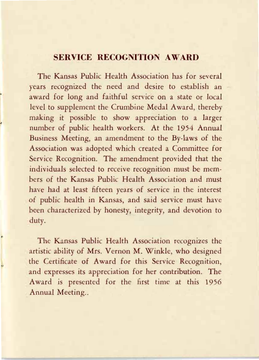#### **SERVICE RECOGNITION AWARD**

The Kansas Public Health Association has for several years recognized the need and desire to establish an award for long and faithful service on a state or local level to supplement the Crumbine Medal Award, thereby making it possible to show appreciation to a larger number of public health workers. At the 1954 Annual Business Meeting, an amendment to the By-laws of the Association was adopted which created a Committee for Service Recognition. The amendment provided that the individuals selected to receive recognition must be members of the Kansas Public Health Association and must have had at least fifteen years of service in the interest of public health in Kansas, and said service must have been characterized by honesty, integrity, and devotion to duty.

The Kansas Public Health Association recognizes the artistic ability of Mrs. Vernon M. Winkle, who designed the Certificate of Award for this Service Recognition, and expresses its appreciation for her contribution. The Award is presented for the first time at this 1956 Annual Meeting..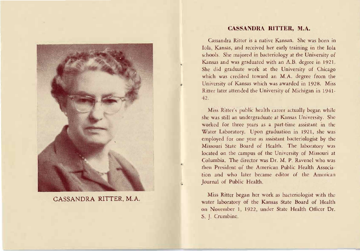

**CASSANDRA RITTER,** M.A.

#### **CA SANDRA RITTER,** M.A.

Cassandra Ritter is a native Kansan. She was born in lola, Kansas, and received her early training in the lola schools. She majored in bacteriology at the University of Kansas and was graduated with an A.B. degree in 1921. She did graduate work at the University of Chicago which was credited toward an M.A. degree from the University of Kansas which was awarded in 1928. Miss Ritter later attended the University of Michigan in 1941  $42.$ 

Miss Ritter's public health career actually began while she was still an undergraduate at Kansas University. She worked for three years as a part-time assistant in the Water Laboratory. Upon graduation in 1921, he was employed for one year as assistant bacteriologist by the Missouri State Board of Health. The laboratory was located on the campus of the University of Missouri at Columbia. The director was Dr. M. P. Ravenel who was then President of the American Public Health Association and who later became editor of the Amcrican Journal of Public Health.

Miss Ritter began her work as bacteriologist with the water laboratory of the Kansas State Board of Health on November 1, 1922, under State Health Officer Dr. S. J. Crumbine.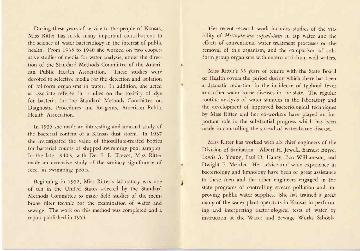During these years of service to the people of Kansas, *Miss* Ritter has made many important contributions to the science of water bacteriology in the interest of public health. from 1935 to 1940 she worked on two cooperative studies of media for water analysis, under the direction of the Standard Methods Committee of the American Public Health Association. These studies were devoted to selective media for the detection and isolation of coliform organisms in water. In addition, she acted as associate referee for studies on the toxicity of dye for bacteria for the Standard Methods Committee on Diagnostic Procedures and Reagents, American Public Health Association.

vy.

In 1935 she made an interesting and unusual study of the bacterial content of a Kansas dust storm. In 1937 she investigated the value of thiosulfate-treated bottles for bacterial counts of shipped swimming pool samples. In the late 1940's, with Dr. E. L. Treece, Miss Ritter made an extensive study of the sanitary significance of cocci in swimming pools.

Beginning in 1952, Miss Ritter's laboratory was one of ten in the United States selected by the Standard Methods Committee to make field studies of the membrane filter techoic for the examination of water and sewage. The work on this method was completed and a report published in 1954.

Her recent research work includes studies of the viability of *Histoplasma capsulatum* in tap water and the effects of conventional water treatment processes on the removal of this organism, and the comparison of coli· form group organisms with enterococci from well waters.

Miss Ritter's 33 years of tenure with the State Board of Health covers the period during which there has been a dramatic reduction in the incidence of typhoid fever and other water-borne diseases in the state. The regular routine analysis of water *samples* in the laboratory and the development of improved bacteriological techniques by Miss Ritter and her co-workers have played an important role in the substantial progress which has been made in controlling the spread of water-borne disease.

Miss Ritter has worked with six chief engineers of the Division of Sanitation-Albert H. Jewell, Earnest Boyce, Lewis A. Young, Paul D. Haney, Ben Williamson, and Dwight F. *Metzler.* Her advice and wide experience in bacteriology and limnology have been of great assistance to these men and the other engineers engaged in the state programs of controlling stream pollution and improving public water supplies, She has trained a great many of the water plant operators in Kansas in performing and interpreting bacteriological tests of water by instruction at the Water and Sewage Works Schools.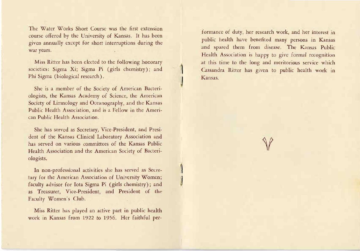The Water Works Short Course was the first extension course offered by the University of Kansas. It has been given annually except for short interruptions during the war years.

Miss Ritter has been elected to the following honorary societies: Sigma Xi; Sigma Pi (girls chemistry); and Phi Sigma (biological research).

She is a member of the Society of American Bacteriologists, the Kansas Academy of Science, the American Society of Limnology and Oceanography, and the Kansas Public Health Association, and is a Fellow in the Ameri· can Public Health Association.

She has served as Secretary, Vice·President, and Presi· dent of the Kansas Clinical Laboratory Association and has served on various committees of the Kansas Public. Health Association and the American Society of Bacteriologists.

In non-professional activities she has served as Secretary for the American Association of University Women; faculty advisor for Iota Sigma Pi (girls chemistry); and as Treasurer, Vice-President, and President of the Faculty Women's Club.

Miss Ritter has played an active part in public health work in Kansas from 1922 to 1956. Her faithful performance of duty, her research work, and her interest in public health have benefited many persons in Kansas and spared them from disease. The Kansas Public Health Association is happy to give formal recognition at this time to the long and meritorious service which Cassandra Ritter has given to public health work in Kansas.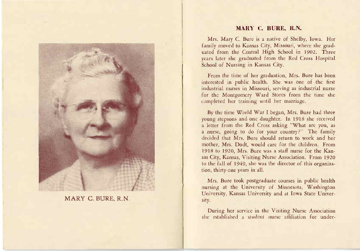

#### MARY C. BURE, R.N.

#### **MARY C. BURE, R.N.**

Mrs. Mary C. Bure is a native of Shelby, Iowa. Her family moved to Kansas City, Missouri, where she graduated from the Central High School in 1902. Three years later she graduated from the Red Cross Hospital School of Nursing in Kansas City.

From the time of her graduation, Mrs. Bure has been interested in public health. She was one of the first industrial nurses in Missouri, serving as industrial nurse for the Montgomery Ward Stores from the time she completed her training until her marriage.

By the time World War I began, *Mrs.* Bure had three young stepsons and one daughter. In 1918 she received a letter from the Red Cross asking "What are you, as a nurse, going to do for your country?" The family decided that Mrs. Bure should return to work and her mother, Mrs. Dodt, would care for the children. From 1918 to 1920, Mrs. Bure was a staff nurse for the Kansas City, Kansas, Visiting Nurse Association. From 1920 to the fall of 1949, she was the director of this organization, thirty-one years in all.

*Mrs.* Bure took postgraduate courses in public health nursing at the University of Minnesota, Washington University, Kansas University and at Iowa State University.

During her service *in* the Visiting Nurse Association she established a student nutse affiliation for under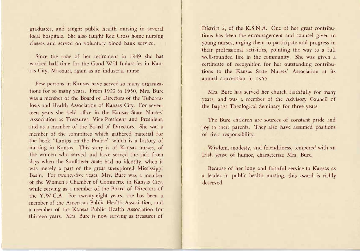graduates, and taught public health nursing in several local hospitals. She also taught Red Cross home nursing classes and served on voluntary blood bank service.

Since the time of her retirement in 1949 she has worked half-time for the Good Will Industries in Kansas City, Missouri, again as an industrial nurse.

few persons in Kansas have served so many organizations for so many years. From 1922 to 1950, Mrs. Bure was a member of the Board of Directors of the Tuberculosis and Health Association of Kansas City. For seventeen years she held office in the Kansas State Nurses' Association as Treasurer, Vice-President and President, and as a member of the Board of Directors. She was a member of the committee which gathered material for the book "Lamps on the Prairie" which is a history of nursing in Kansas. This story is of Kansas nurses, of the women who served and have served the sick from days when the Sunflower State had no identity, when it was merely a part of the great unexplored Mississippi Basin. For twenty-five years, Mrs. Bure was a member of the Women's Chamber of Commerce in Kansas City, while serving as a member of the Board of Directors of rhe Y.W.CA. For twenty-eight years, she has been a member of the American Public Health Association, and a member of the Kansas Public Health Association for thirteen years. Mrs. Bure is now serving as treasurer of District 2, of the K.S.N.A. One of her great contributions has been the encouragement and counsel given to young nurses, urging them to participate and progress in their professional activities, pointing the way to a full well-rounded life in the community. She was given a certificate of recognition for her outstanding contributions to the Kansas State Nurses' Association at its annual convention in 1955.

Mrs. Bure has served her church faithfully for many years, and was a member of the Advisory Council of the Baptist Theological Seminary for three years.

The Bure children are sources of constant pride and joy to their parents. They also have assumed positions of civic responsibility.

Wisdom, modesty, and friendliness, tempered with an Irish sense of humor, characterize Mrs. Bure.

Because of her long and faithful service to Kansas a a leader in public health nursing, this award *is* richly deserved.